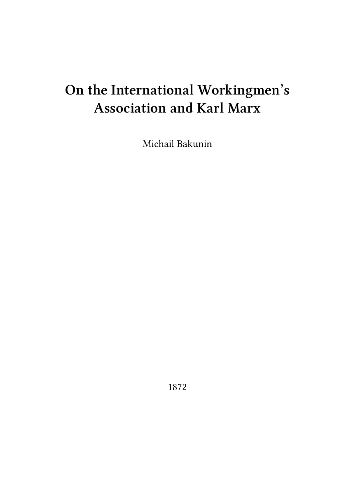## **On the International Workingmen's Association and Karl Marx**

Michail Bakunin

1872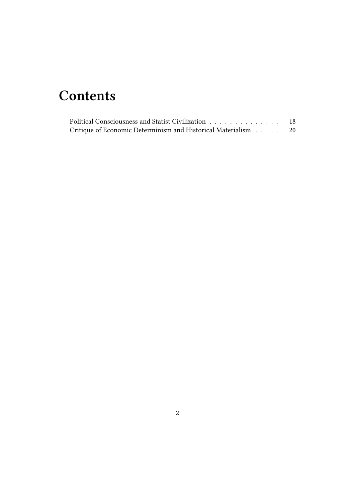## **Contents**

| Political Consciousness and Statist Civilization            | 18 |
|-------------------------------------------------------------|----|
| Critique of Economic Determinism and Historical Materialism | 20 |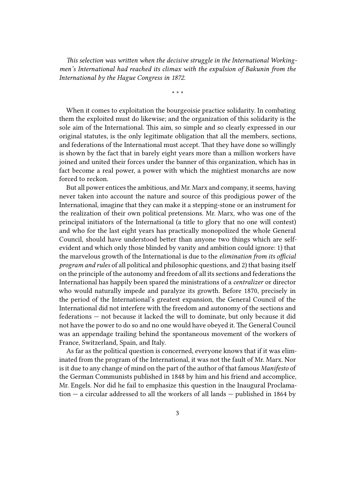*This selection was written when the decisive struggle in the International Workingmen's International had reached its climax with the expulsion of Bakunin from the International by the Hague Congress in 1872.*

\* \* \*

When it comes to exploitation the bourgeoisie practice solidarity. In combating them the exploited must do likewise; and the organization of this solidarity is the sole aim of the International. This aim, so simple and so clearly expressed in our original statutes, is the only legitimate obligation that all the members, sections, and federations of the International must accept. That they have done so willingly is shown by the fact that in barely eight years more than a million workers have joined and united their forces under the banner of this organization, which has in fact become a real power, a power with which the mightiest monarchs are now forced to reckon.

But all power entices the ambitious, and Mr. Marx and company, it seems, having never taken into account the nature and source of this prodigious power of the International, imagine that they can make it a stepping-stone or an instrument for the realization of their own political pretensions. Mr. Marx, who was one of the principal initiators of the International (a title to glory that no one will contest) and who for the last eight years has practically monopolized the whole General Council, should have understood better than anyone two things which are selfevident and which only those blinded by vanity and ambition could ignore: 1) that the marvelous growth of the International is due to the *elimination from its official program and rules* of all political and philosophic questions, and 2) that basing itself on the principle of the autonomy and freedom of all its sections and federations the International has happily been spared the ministrations of a *centralizer* or director who would naturally impede and paralyze its growth. Before 1870, precisely in the period of the International's greatest expansion, the General Council of the International did not interfere with the freedom and autonomy of the sections and federations — not because it lacked the will to dominate, but only because it did not have the power to do so and no one would have obeyed it. The General Council was an appendage trailing behind the spontaneous movement of the workers of France, Switzerland, Spain, and Italy.

As far as the political question is concerned, everyone knows that if it was eliminated from the program of the International, it was not the fault of Mr. Marx. Nor is it due to any change of mind on the part of the author of that famous *Manifesto* of the German Communists published in 1848 by him and his friend and accomplice, Mr. Engels. Nor did he fail to emphasize this question in the Inaugural Proclamation — a circular addressed to all the workers of all lands — published in 1864 by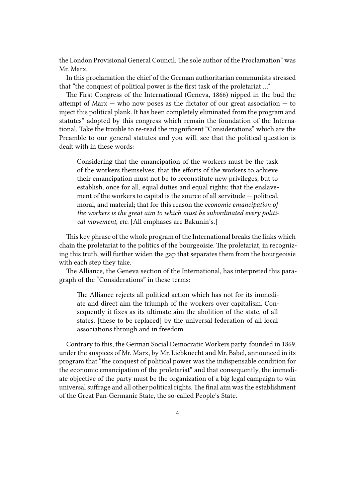the London Provisional General Council. The sole author of the Proclamation" was Mr. Marx.

In this proclamation the chief of the German authoritarian communists stressed that "the conquest of political power is the first task of the proletariat …"

The First Congress of the International (Geneva, 1866) nipped in the bud the attempt of Marx  $-$  who now poses as the dictator of our great association  $-$  to inject this political plank. It has been completely eliminated from the program and statutes" adopted by this congress which remain the foundation of the International, Take the trouble to re-read the magnificent "Considerations" which are the Preamble to our general statutes and you will. see that the political question is dealt with in these words:

Considering that the emancipation of the workers must be the task of the workers themselves; that the efforts of the workers to achieve their emancipation must not be to reconstitute new privileges, but to establish, once for all, equal duties and equal rights; that the enslavement of the workers to capital is the source of all servitude — political, moral, and material; that for this reason the *economic emancipation of the workers is the great aim to which must be subordinated every political movement, etc.* [All emphases are Bakunin's.]

This key phrase of the whole program of the International breaks the links which chain the proletariat to the politics of the bourgeoisie. The proletariat, in recognizing this truth, will further widen the gap that separates them from the bourgeoisie with each step they take.

The Alliance, the Geneva section of the International, has interpreted this paragraph of the "Considerations" in these terms:

The Alliance rejects all political action which has not for its immediate and direct aim the triumph of the workers over capitalism. Consequently it fixes as its ultimate aim the abolition of the state, of all states, [these to be replaced] by the universal federation of all local associations through and in freedom.

Contrary to this, the German Social Democratic Workers party, founded in 1869, under the auspices of Mr. Marx, by Mr. Liebknecht and Mr. Babel, announced in its program that "the conquest of political power was the indispensable condition for the economic emancipation of the proletariat" and that consequently, the immediate objective of the party must be the organization of a big legal campaign to win universal suffrage and all other political rights. The final aim was the establishment of the Great Pan-Germanic State, the so-called People's State.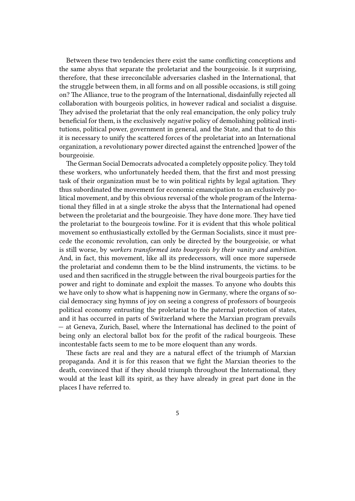Between these two tendencies there exist the same conflicting conceptions and the same abyss that separate the proletariat and the bourgeoisie. Is it surprising, therefore, that these irreconcilable adversaries clashed in the International, that the struggle between them, in all forms and on all possible occasions, is still going on? The Alliance, true to the program of the International, disdainfully rejected all collaboration with bourgeois politics, in however radical and socialist a disguise. They advised the proletariat that the only real emancipation, the only policy truly beneficial for them, is the exclusively *negative* policy of demolishing political institutions, political power, government in general, and the State, and that to do this it is necessary to unify the scattered forces of the proletariat into an International organization, a revolutionary power directed against the entrenched ]power of the bourgeoisie.

The German Social Democrats advocated a completely opposite policy. They told these workers, who unfortunately heeded them, that the first and most pressing task of their organization must be to win political rights by legal agitation. They thus subordinated the movement for economic emancipation to an exclusively political movement, and by this obvious reversal of the whole program of the International they filled in at a single stroke the abyss that the International had opened between the proletariat and the bourgeoisie. They have done more. They have tied the proletariat to the bourgeois towline. For it is evident that this whole political movement so enthusiastically extolled by the German Socialists, since it must precede the economic revolution, can only be directed by the bourgeoisie, or what is still worse, by *workers transformed into bourgeois by their vanity and ambition.* And, in fact, this movement, like all its predecessors, will once more supersede the proletariat and condemn them to be the blind instruments, the victims. to be used and then sacrificed in the struggle between the rival bourgeois parties for the power and right to dominate and exploit the masses. To anyone who doubts this we have only to show what is happening now in Germany, where the organs of social democracy sing hymns of joy on seeing a congress of professors of bourgeois political economy entrusting the proletariat to the paternal protection of states, and it has occurred in parts of Switzerland where the Marxian program prevails — at Geneva, Zurich, Basel, where the International has declined to the point of being only an electoral ballot box for the profit of the radical bourgeois. These incontestable facts seem to me to be more eloquent than any words.

These facts are real and they are a natural effect of the triumph of Marxian propaganda. And it is for this reason that we fight the Marxian theories to the death, convinced that if they should triumph throughout the International, they would at the least kill its spirit, as they have already in great part done in the places I have referred to.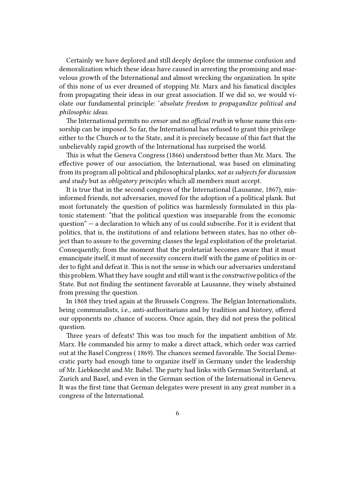Certainly we have deplored and still deeply deplore the immense confusion and demoralization which these ideas have caused in arresting the promising and marvelous growth of the International and almost wrecking the organization. In spite of this none of us ever dreamed of stopping Mr. Marx and his fanatical disciples from propagating their ideas in our great association. If we did so, we would violate our fundamental principle: '*absolute freedom to propagandize political and philosophic ideas.*

The International permits no *censor* and no *official truth* in whose name this censorship can be imposed. So far, the International has refused to grant this privilege either to the Church or to the State, and it is precisely because of this fact that the unbelievably rapid growth of the International has surprised the world.

This is what the Geneva Congress (1866) understood better than Mr. Marx. The effective power of our association, the International, was based on eliminating from its program all political and philosophical planks, *not as subjects for discussion and study* but as *obligatory principles* which all members must accept.

It is true that in the second congress of the International (Lausanne, 1867), misinformed friends, not adversaries, moved for the adoption of a political plank. But most fortunately the question of politics was harmlessly formulated in this platonic statement: "that the political question was inseparable from the economic question" — a declaration to which any of us could subscribe. For it is evident that politics, that is, the institutions of and relations between states, has no other object than to assure to the governing classes the legal exploitation of the proletariat. Consequently, from the moment that the proletariat becomes aware that it must emancipate itself, it must of necessity concern itself with the game of politics in order to fight and defeat it. This is not the sense in which our adversaries understand this problem. What they have sought and still want is the *constructive* politics of the State. But not finding the sentiment favorable at Lausanne, they wisely abstained from pressing the question.

In 1868 they tried again at the Brussels Congress. The Belgian Internationalists, being communalists, i.e., anti-authoritarians and by tradition and history, offered our opponents no ,chance of success. Once again, they did not press the political question.

Three years of defeats! This was too much for the impatient ambition of Mr. Marx. He commanded his army to make a direct attack, which order was carried out at the Basel Congress ( 1869). The chances seemed favorable. The Social Democratic party had enough time to organize itself in Germany under the leadership of Mr. Liebknecht and Mr. Babel. The party had links with German Switzerland, at Zurich and Basel, and even in the German section of the International in Geneva. It was the first time that German delegates were present in any great number in a congress of the International.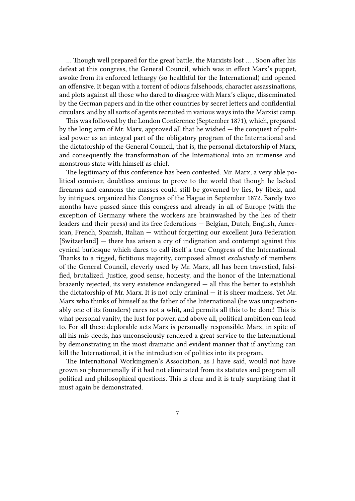… Though well prepared for the great battle, the Marxists lost … . Soon after his defeat at this congress, the General Council, which was in effect Marx's puppet, awoke from its enforced lethargy (so healthful for the International) and opened an offensive. It began with a torrent of odious falsehoods, character assassinations, and plots against all those who dared to disagree with Marx's clique, disseminated by the German papers and in the other countries by secret letters and confidential circulars, and by all sorts of agents recruited in various ways into the Marxist camp.

This was followed by the London Conference (September 1871), which, prepared by the long arm of Mr. Marx, approved all that he wished — the conquest of political power as an integral part of the obligatory program of the International and the dictatorship of the General Council, that is, the personal dictatorship of Marx, and consequently the transformation of the International into an immense and monstrous state with himself as chief.

The legitimacy of this conference has been contested. Mr. Marx, a very able political conniver, doubtless anxious to prove to the world that though he lacked firearms and cannons the masses could still be governed by lies, by libels, and by intrigues, organized his Congress of the Hague in September 1872. Barely two months have passed since this congress and already in all of Europe (with the exception of Germany where the workers are brainwashed by the lies of their leaders and their press) and its free federations — Belgian, Dutch, English, American, French, Spanish, Italian — without forgetting our excellent Jura Federation [Switzerland] — there has arisen a cry of indignation and contempt against this cynical burlesque which dares to call itself a true Congress of the International. Thanks to a rigged, fictitious majority, composed almost *exclusively* of members of the General Council, cleverly used by Mr. Marx, all has been travestied, falsified, brutalized. Justice, good sense, honesty, and the honor of the International brazenly rejected, its very existence endangered — all this the better to establish the dictatorship of Mr. Marx. It is not only criminal — it is sheer madness. Yet Mr. Marx who thinks of himself as the father of the International (he was unquestionably one of its founders) cares not a whit, and permits all this to be done! This is what personal vanity, the lust for power, and above all, political ambition can lead to. For all these deplorable acts Marx is personally responsible. Marx, in spite of all his mis-deeds, has unconsciously rendered a great service to the International by demonstrating in the most dramatic and evident manner that if anything can kill the International, it is the introduction of politics into its program.

The International Workingmen's Association, as I have said, would not have grown so phenomenally if it had not eliminated from its statutes and program all political and philosophical questions. This is clear and it is truly surprising that it must again be demonstrated.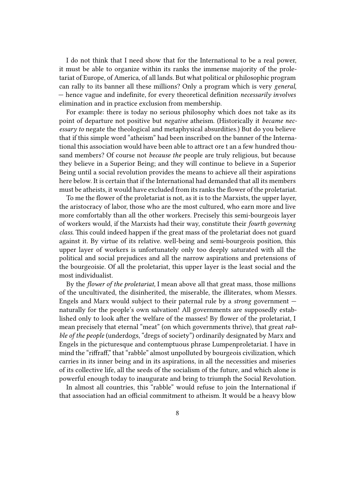I do not think that I need show that for the International to be a real power, it must be able to organize within its ranks the immense majority of the proletariat of Europe, of America, of all lands. But what political or philosophic program can rally to its banner all these millions? Only a program which is very *general*, — hence vague and indefinite, for every theoretical definition *necessarily involves* elimination and in practice exclusion from membership.

For example: there is today no serious philosophy which does not take as its point of departure not positive but *negative* atheism. (Historically it *became necessary to* negate the theological and metaphysical absurdities.) But do you believe that if this simple word "atheism" had been inscribed on the banner of the International this association would have been able to attract ore t an a few hundred thousand members? Of course not *because the* people are truly religious, but because they believe in a Superior Being; and they will continue to believe in a Superior Being until a social revolution provides the means to achieve all their aspirations here below. It is certain that if the International had demanded that all its members must be atheists, it would have excluded from its ranks the flower of the proletariat.

To me the flower of the proletariat is not, as it is to the Marxists, the upper layer, the aristocracy of labor, those who are the most cultured, who earn more and live more comfortably than all the other workers. Precisely this semi-bourgeois layer of workers would, if the Marxists had their way, constitute their *fourth governing class.* This could indeed happen if the great mass of the proletariat does not guard against it. By virtue of its relative. well-being and semi-bourgeois position, this upper layer of workers is unfortunately only too deeply saturated with all the political and social prejudices and all the narrow aspirations and pretensions of the bourgeoisie. Of all the proletariat, this upper layer is the least social and the most individualist.

By the *flower of the proletariat,* I mean above all that great mass, those millions of the uncultivated, the disinherited, the miserable, the illiterates, whom Messrs. Engels and Marx would subject to their paternal rule by a *strong* government naturally for the people's own salvation! All governments are supposedly established only to look after the welfare of the masses! By flower of the proletariat, I mean precisely that eternal "meat" (on which governments thrive), that great *rabble of the people* (underdogs, "dregs of society") ordinarily designated by Marx and Engels in the picturesque and contemptuous phrase Lumpenproletariat. I have in mind the "riffraff," that "rabble" almost unpolluted by bourgeois civilization, which carries in its inner being and in its aspirations, in all the necessities and miseries of its collective life, all the seeds of the socialism of the future, and which alone is powerful enough today to inaugurate and bring to triumph the Social Revolution.

In almost all countries, this "rabble" would refuse to join the International if that association had an official commitment to atheism. It would be a heavy blow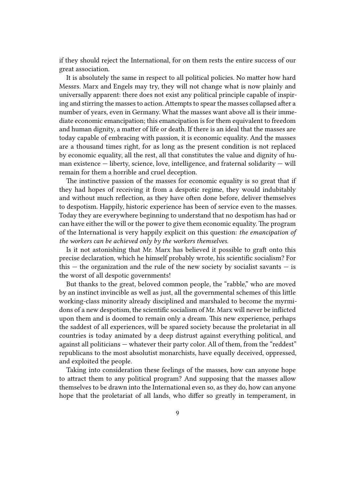if they should reject the International, for on them rests the entire success of our great association.

It is absolutely the same in respect to all political policies. No matter how hard Messrs. Marx and Engels may try, they will not change what is now plainly and universally apparent: there does not exist any political principle capable of inspiring and stirring the masses to action. Attempts to spear the masses collapsed after a number of years, even in Germany. What the masses want above all is their immediate economic emancipation; this emancipation is for them equivalent to freedom and human dignity, a matter of life or death. If there is an ideal that the masses are today capable of embracing with passion, it is economic equality. And the masses are a thousand times right, for as long as the present condition is not replaced by economic equality, all the rest, all that constitutes the value and dignity of human existence  $-$  liberty, science, love, intelligence, and fraternal solidarity  $-$  will remain for them a horrible and cruel deception.

The instinctive passion of the masses for economic equality is so great that if they had hopes of receiving it from a despotic regime, they would indubitably and without much reflection, as they have often done before, deliver themselves to despotism. Happily, historic experience has been of service even to the masses. Today they are everywhere beginning to understand that no despotism has had or can have either the will or the power to give them economic equality. The program of the International is very happily explicit on this question: *the emancipation of the workers can be achieved only by the workers themselves.*

Is it not astonishing that Mr. Marx has believed it possible to graft onto this precise declaration, which he himself probably wrote, his scientific socialism? For this  $-$  the organization and the rule of the new society by socialist savants  $-$  is the worst of all despotic governments!

But thanks to the great, beloved common people, the "rabble," who are moved by an instinct invincible as well as just, all the governmental schemes of this little working-class minority already disciplined and marshaled to become the myrmidons of a new despotism, the scientific socialism of Mr. Marx will never be inflicted upon them and is doomed to remain only a dream. This new experience, perhaps the saddest of all experiences, will be spared society because the proletariat in all countries is today animated by a deep distrust against everything political, and against all politicians — whatever their party color. All of them, from the "reddest" republicans to the most absolutist monarchists, have equally deceived, oppressed, and exploited the people.

Taking into consideration these feelings of the masses, how can anyone hope to attract them to any political program? And supposing that the masses allow themselves to be drawn into the International even so, as they do, how can anyone hope that the proletariat of all lands, who differ so greatly in temperament, in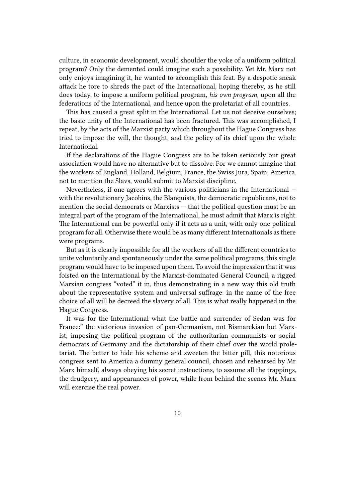culture, in economic development, would shoulder the yoke of a uniform political program? Only the demented could imagine such a possibility. Yet Mr. Marx not only enjoys imagining it, he wanted to accomplish this feat. By a despotic sneak attack he tore to shreds the pact of the International, hoping thereby, as he still does today, to impose a uniform political program, *his own program,* upon all the federations of the International, and hence upon the proletariat of all countries.

This has caused a great split in the International. Let us not deceive ourselves; the basic unity of the International has been fractured. This was accomplished, I repeat, by the acts of the Marxist party which throughout the Hague Congress has tried to impose the will, the thought, and the policy of its chief upon the whole International.

If the declarations of the Hague Congress are to be taken seriously our great association would have no alternative but to dissolve. For we cannot imagine that the workers of England, Holland, Belgium, France, the Swiss Jura, Spain, America, not to mention the Slavs, would submit to Marxist discipline.

Nevertheless, if one agrees with the various politicians in the International with the revolutionary Jacobins, the Blanquists, the democratic republicans, not to mention the social democrats or Marxists — that the political question must be an integral part of the program of the International, he must admit that Marx is right. The International can be powerful only if it acts as a unit, with only one political program for all. Otherwise there would be as many different Internationals as there were programs.

But as it is clearly impossible for all the workers of all the different countries to unite voluntarily and spontaneously under the same political programs, this single program would have to be imposed upon them. To avoid the impression that it was foisted on the International by the Marxist-dominated General Council, a rigged Marxian congress "voted" it in, thus demonstrating in a new way this old truth about the representative system and universal suffrage: in the name of the free choice of all will be decreed the slavery of all. This is what really happened in the Hague Congress.

It was for the International what the battle and surrender of Sedan was for France:" the victorious invasion of pan-Germanism, not Bismarckian but Marxist, imposing the political program of the authoritarian communists or social democrats of Germany and the dictatorship of their chief over the world proletariat. The better to hide his scheme and sweeten the bitter pill, this notorious congress sent to America a dummy general council, chosen and rehearsed by Mr. Marx himself, always obeying his secret instructions, to assume all the trappings, the drudgery, and appearances of power, while from behind the scenes Mr. Marx will exercise the real power.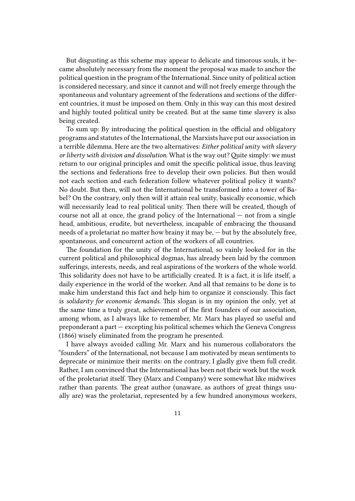But disgusting as this scheme may appear to delicate and timorous souls, it became absolutely necessary from the moment the proposal was made to anchor the political question in the program of the International. Since unity of political action is considered necessary, and since it cannot and will not freely emerge through the spontaneous and voluntary agreement of the federations and sections of the different countries, it must be imposed on them. Only in this way can this most desired and highly touted political unity be created. But at the same time slavery is also being created.

To sum up: By introducing the political question in the official and obligatory programs and statutes of the International, the Marxists have put our association in a terrible dilemma. Here are the two alternatives: *Either political unity with slavery or liberty with division and dissolution.* What is the way out?Quite simply: we must return to our original principles and omit the specific political issue, thus leaving the sections and federations free to develop their own policies. But then would not each section and each federation follow whatever political policy it wants? No doubt. But then, will not the International be transformed into a tower of Babel? On the contrary, only then will it attain real unity, basically economic, which will necessarily lead to real political unity. Then there will be created, though of course not all at once, the grand policy of the International  $-$  not from a single head, ambitious, erudite, but nevertheless, incapable of embracing the thousand needs of a proletariat no matter how brainy it may be, — but by the absolutely free, spontaneous, and concurrent action of the workers of all countries.

The foundation for the unity of the International, so vainly looked for in the current political and philosophical dogmas, has already been laid by the common sufferings, interests, needs, and real aspirations of the workers of the whole world. This solidarity does not have to be artificially created. It is a fact, it is life itself, a daily experience in the world of the worker. And all that remains to be done is to make him understand this fact and help him to organize it consciously. This fact is *solidarity for economic demands.* This slogan is in my opinion the only, yet at the same time a truly great, achievement of the first founders of our association, among whom, as I always like to remember, Mr. Marx has played so useful and preponderant a part — excepting his political schemes which the Geneva Congress (1866) wisely eliminated from the program he presented.

I have always avoided calling Mr. Marx and his numerous collaborators the "founders" of the International, not because I am motivated by mean sentiments to deprecate or minimize their merits: on the contrary, I gladly give them full credit. Rather, I am convinced that the International has been not their work but the work of the proletariat itself. They (Marx and Company) were somewhat like midwives rather than parents. The great author (unaware, as authors of great things usually are) was the proletariat, represented by a few hundred anonymous workers,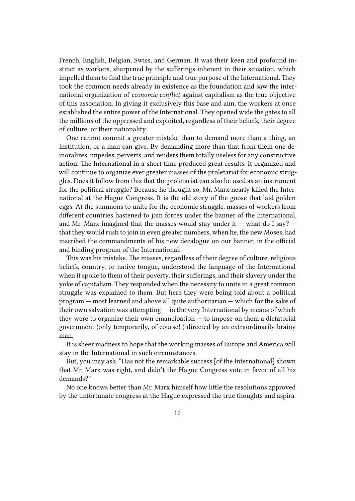French, English, Belgian, Swiss, and German. It was their keen and profound instinct as workers, sharpened by the sufferings inherent in their situation, which impelled them to find the true principle and true purpose of the International. They took the common needs already in existence as the foundation and saw the international organization of *economic conflict* against capitalism as the true objective of this association. In giving it exclusively this base and aim, the workers at once established the entire power of the International. They opened wide the gates to all the millions of the oppressed and exploited, regardless of their beliefs, their degree of culture, or their nationality.

One cannot commit a greater mistake than to demand more than a thing, an institution, or a man can give. By demanding more than that from them one demoralizes, impedes, perverts, and renders them totally useless for any constructive action. The International in a short time produced great results. It organized and will continue to organize ever greater masses of the proletariat for economic struggles. Does it follow from this that the proletariat can also be used as an instrument for the political struggle? Because he thought so, Mr. Marx nearly killed the International at the Hague Congress. It is the old story of the goose that laid golden eggs. At the summons to unite for the economic struggle. masses of workers from different countries hastened to join forces under the banner of the International, and Mr. Marx imagined that the masses would stay under it  $-$  what do I say?  $$ that they would rush to join in even greater numbers, when he, the new Moses, had inscribed the commandments of his new decalogue on our banner, in the official and binding program of the International.

This was his mistake. The masses, regardless of their degree of culture, religious beliefs, country, or native tongue, understood the language of the International when it spoke to them of their poverty, their sufferings, and their slavery under the yoke of capitalism. They responded when the necessity to unite in a great common struggle was explained to them. But here they were being told about a political program — most learned and above all quite authoritarian — which for the sake of their own salvation was attempting — in the very International by means of which they were to organize their own emancipation  $-$  to impose on them a dictatorial government (only temporarily, of course! ) directed by an extraordinarily brainy man.

It is sheer madness to hope that the working masses of Europe and America will stay in the International in such circumstances.

But, you may ask, "Has not the remarkable success [of the International] shown that Mr. Marx was right, and didn't the Hague Congress vote in favor of all his demands?"

No one knows better than Mr. Marx himself how little the resolutions approved by the unfortunate congress at the Hague expressed the true thoughts and aspira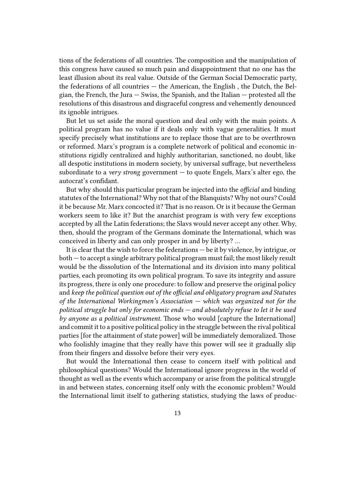tions of the federations of all countries. The composition and the manipulation of this congress have caused so much pain and disappointment that no one has the least illusion about its real value. Outside of the German Social Democratic party, the federations of all countries — the American, the English , the Dutch, the Belgian, the French, the Jura — Swiss, the Spanish, and the Italian — protested all the resolutions of this disastrous and disgraceful congress and vehemently denounced its ignoble intrigues.

But let us set aside the moral question and deal only with the main points. A political program has no value if it deals only with vague generalities. It must specify precisely what institutions are to replace those that are to be overthrown or reformed. Marx's program is a complete network of political and economic institutions rigidly centralized and highly authoritarian, sanctioned, no doubt, like all despotic institutions in modern society, by universal suffrage, but nevertheless subordinate to a *very strong* government — to quote Engels, Marx's alter ego, the autocrat's confidant.

But why should this particular program be injected into the *official* and binding statutes of the International? Why not that of the Blanquists? Why not ours? Could it be because Mr. Marx concocted it? That is no reason. Or is it because the German workers seem to like it? But the anarchist program is with very few exceptions accepted by all the Latin federations; the Slavs would never accept any other. Why, then, should the program of the Germans dominate the International, which was conceived in liberty and can only prosper in and by liberty? …

It is clear that the wish to force the federations — be it by violence, by intrigue, or both — to accept a single arbitrary political program must fail; the most likely result would be the dissolution of the International and its division into many political parties, each promoting its own political program. To save its integrity and assure its progress, there is only one procedure: to follow and preserve the original policy and *keep the political question out of the official and obligatory program and Statutes of the International Workingmen's Association — which was organized not for the political struggle but only for economic ends — and absolutely refuse to let it be used by anyone as a political instrument.* Those who would [capture the International] and commit it to a positive political policy in the struggle between the rival political parties [for the attainment of state power] will be immediately demoralized. Those who foolishly imagine that they really have this power will see it gradually slip from their fingers and dissolve before their very eyes.

But would the International then cease to concern itself with political and philosophical questions? Would the International ignore progress in the world of thought as well as the events which accompany or arise from the political struggle in and between states, concerning itself only with the economic problem? Would the International limit itself to gathering statistics, studying the laws of produc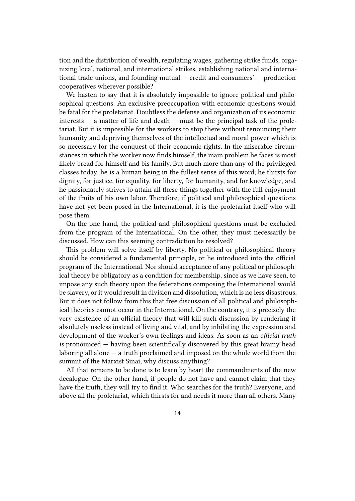tion and the distribution of wealth, regulating wages, gathering strike funds, organizing local, national, and international strikes, establishing national and international trade unions, and founding mutual — credit and consumers' — production cooperatives wherever possible?

We hasten to say that it is absolutely impossible to ignore political and philosophical questions. An exclusive preoccupation with economic questions would be fatal for the proletariat. Doubtless the defense and organization of its economic interests  $-$  a matter of life and death  $-$  must be the principal task of the proletariat. But it is impossible for the workers to stop there without renouncing their humanity and depriving themselves of the intellectual and moral power which is so necessary for the conquest of their economic rights. In the miserable circumstances in which the worker now finds himself, the main problem he faces is most likely bread for himself and bis family. But much more than any of the privileged classes today, he is a human being in the fullest sense of this word; he thirsts for dignity, for justice, for equality, for liberty, for humanity, and for knowledge, and he passionately strives to attain all these things together with the full enjoyment of the fruits of his own labor. Therefore, if political and philosophical questions have not yet been posed in the International, it is the proletariat itself who will pose them.

On the one hand, the political and philosophical questions must be excluded from the program of the International. On the other, they must necessarily be discussed. How can this seeming contradiction be resolved?

This problem will solve itself by liberty. No political or philosophical theory should be considered a fundamental principle, or he introduced into the official program of the International. Nor should acceptance of any political or philosophical theory be obligatory as a condition for membership, since as we have seen, to impose any such theory upon the federations composing the International would be slavery, or it would result in division and dissolution, which is no less disastrous. But it does not follow from this that free discussion of all political and philosophical theories cannot occur in the International. On the contrary, it is precisely the very existence of an official theory that will kill such discussion by rendering it absolutely useless instead of living and vital, and by inhibiting the expression and development of the worker's own feelings and ideas. As soon as an *official truth is* pronounced — having been scientifically discovered by this great brainy head laboring all alone — a truth proclaimed and imposed on the whole world from the summit of the Marxist Sinai, why discuss anything?

All that remains to be done is to learn by heart the commandments of the new decalogue. On the other hand, if people do not have and cannot claim that they have the truth, they will try to find it. Who searches for the truth? Everyone, and above all the proletariat, which thirsts for and needs it more than all others. Many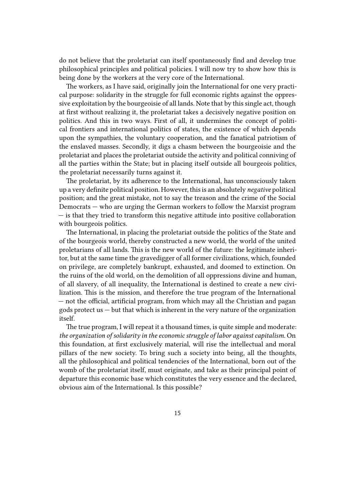do not believe that the proletariat can itself spontaneously find and develop true philosophical principles and political policies. I will now try to show how this is being done by the workers at the very core of the International.

The workers, as I have said, originally join the International for one very practical purpose: solidarity in the struggle for full economic rights against the oppressive exploitation by the bourgeoisie of all lands. Note that by this single act, though at first without realizing it, the proletariat takes a decisively negative position on politics. And this in two ways. First of all, it undermines the concept of political frontiers and international politics of states, the existence of which depends upon the sympathies, the voluntary cooperation, and the fanatical patriotism of the enslaved masses. Secondly, it digs a chasm between the bourgeoisie and the proletariat and places the proletariat outside the activity and political conniving of all the parties within the State; but in placing itself outside all bourgeois politics, the proletariat necessarily turns against it.

The proletariat, by its adherence to the International, has unconsciously taken up a very definite political position. However, this is an absolutely *negative* political position; and the great mistake, not to say the treason and the crime of the Social Democrats — who are urging the German workers to follow the Marxist program — is that they tried to transform this negative attitude into positive collaboration with bourgeois politics.

The International, in placing the proletariat outside the politics of the State and of the bourgeois world, thereby constructed a new world, the world of the united proletarians of all lands. This is the new world of the future: the legitimate inheritor, but at the same time the gravedigger of all former civilizations, which, founded on privilege, are completely bankrupt, exhausted, and doomed to extinction. On the ruins of the old world, on the demolition of all oppressions divine and human, of all slavery, of all inequality, the International is destined to create a new civilization. This is the mission, and therefore the true program of the International — not the official, artificial program, from which may all the Christian and pagan gods protect us — but that which is inherent in the very nature of the organization itself.

The true program, I will repeat it a thousand times, is quite simple and moderate: *the organization of solidarity in the economic struggle of labor against capitalism.* On this foundation, at first exclusively material, will rise the intellectual and moral pillars of the new society. To bring such a society into being, all the thoughts, all the philosophical and political tendencies of the International, born out of the womb of the proletariat itself, must originate, and take as their principal point of departure this economic base which constitutes the very essence and the declared, obvious aim of the International. Is this possible?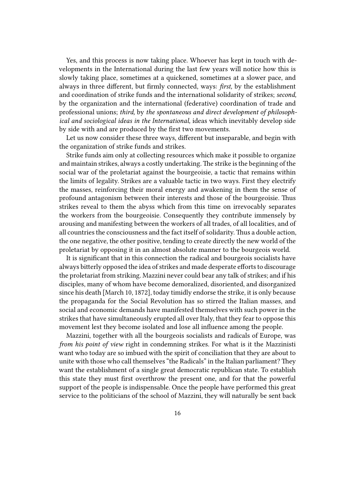Yes, and this process is now taking place. Whoever has kept in touch with developments in the International during the last few years will notice how this is slowly taking place, sometimes at a quickened, sometimes at a slower pace, and always in three different, but firmly connected, ways: *first,* by the establishment and coordination of strike funds and the international solidarity of strikes; *second,* by the organization and the international (federative) coordination of trade and professional unions; *third,* by *the spontaneous and direct development of philosophical and sociological ideas in the International,* ideas which inevitably develop side by side with and are produced by the first two movements.

Let us now consider these three ways, different but inseparable, and begin with the organization of strike funds and strikes.

Strike funds aim only at collecting resources which make it possible to organize and maintain strikes, always a costly undertaking.The strike is the beginning of the social war of the proletariat against the bourgeoisie, a tactic that remains within the limits of legality. Strikes are a valuable tactic in two ways. First they electrify the masses, reinforcing their moral energy and awakening in them the sense of profound antagonism between their interests and those of the bourgeoisie. Thus strikes reveal to them the abyss which from this time on irrevocably separates the workers from the bourgeoisie. Consequently they contribute immensely by arousing and manifesting between the workers of all trades, of all localities, and of all countries the consciousness and the fact itself of solidarity. Thus a double action, the one negative, the other positive, tending to create directly the new world of the proletariat by opposing it in an almost absolute manner to the bourgeois world.

It is significant that in this connection the radical and bourgeois socialists have always bitterly opposed the idea of strikes and made desperate efforts to discourage the proletariat from striking. Mazzini never could bear any talk of strikes; and if his disciples, many of whom have become demoralized, disoriented, and disorganized since his death [March 10, 1872], today timidly endorse the strike, it is only because the propaganda for the Social Revolution has so stirred the Italian masses, and social and economic demands have manifested themselves with such power in the strikes that have simultaneously erupted all over Italy, that they fear to oppose this movement lest they become isolated and lose all influence among the people.

Mazzini, together with all the bourgeois socialists and radicals of Europe, was *from his point of view* right in condemning strikes. For what is it the Mazzinisti want who today are so imbued with the spirit of conciliation that they are about to unite with those who call themselves "the Radicals" in the Italian parliament? They want the establishment of a single great democratic republican state. To establish this state they must first overthrow the present one, and for that the powerful support of the people is indispensable. Once the people have performed this great service to the politicians of the school of Mazzini, they will naturally be sent back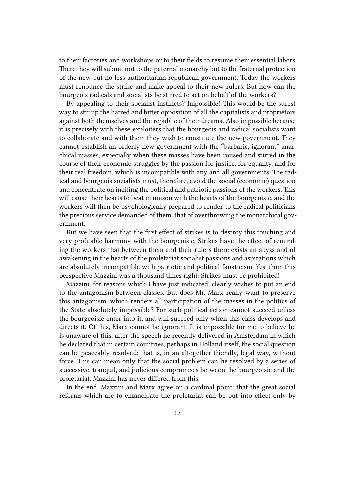to their factories and workshops or to their fields to resume their essential labors. There they will submit not to the paternal monarchy but to the fraternal protection of the new but no less authoritarian republican government. Today the workers must renounce the strike and make appeal to their new rulers. But how can the bourgeois radicals and socialists be stirred to act on behalf of the workers?

By appealing to their socialist instincts? Impossible! This would be the surest way to stir up the hatred and bitter opposition of all the capitalists and proprietors against both themselves and the republic of their dreams. Also impossible because it is precisely with these exploiters that the bourgeois and radical socialists want to collaborate and with them they wish to constitute the new government. They cannot establish an orderly new government with the "barbaric, ignorant" anarchical masses, especially when these masses have been roused and stirred in the course of their economic struggles by the passion for justice, for equality, and for their real freedom, which is incompatible with any and all governments. The radical and bourgeois socialists must, therefore, avoid the social (economic) question and concentrate on inciting the political and patriotic passions of the workers. This will cause their hearts to beat in unison with the hearts of the bourgeoisie, and the workers will then be psychologically prepared to render to the radical politicians the precious service demanded of them: that of overthrowing the monarchical government.

But we have seen that the first effect of strikes is to destroy this touching and very profitable harmony with the bourgeoisie. Strikes have the effect of reminding the workers that between them and their rulers there exists an abyss and of awakening in the hearts of the proletariat socialist passions and aspirations which are absolutely incompatible with patriotic and political fanaticism. Yes, from this perspective Mazzini was a thousand times right: Strikes must be prohibited!

Mazzini, for reasons which I have just indicated, clearly wishes to put an end to the antagonism between classes. But does Mr. Marx really want to preserve this antagonism, which renders all participation of the masses in the politics of the State absolutely impossible? For such political action cannot succeed unless the bourgeoisie enter into it, and will succeed only when this class develops and directs it. Of this, Marx cannot be ignorant. It is impossible for me to believe he is unaware of this, after the speech he recently delivered in Amsterdam in which he declared that in certain countries, perhaps in Holland itself, the social question can be peaceably resolved; that is, in an altogether friendly, legal way, without force. This can mean only that the social problem can he resolved by a series of successive, tranquil, and judicious compromises between the bourgeoisie and the proletariat. Mazzini has never differed from this.

In the end, Mazzini and Marx agree on a cardinal point: that the great social reforms which are to emancipate the proletariat can be put into effect only by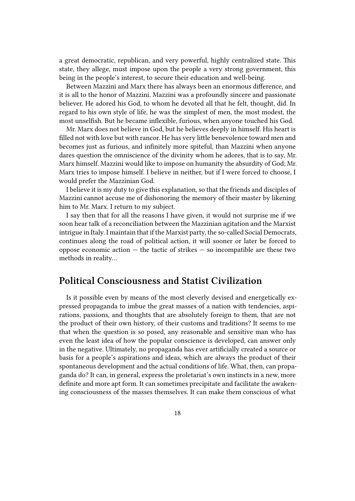a great democratic, republican, and very powerful, highly centralized state. This state, they allege, must impose upon the people a very strong government, this being in the people's interest, to secure their education and well-being.

Between Mazzini and Marx there has always been an enormous difference, and it is all to the honor of Mazzini. Mazzini was a profoundly sincere and passionate believer. He adored his God, to whom he devoted all that he felt, thought, did. In regard to his own style of life, he was the simplest of men, the most modest, the most unselfish. But he became inflexible, furious, when anyone touched his God.

Mr. Marx does not believe in God, but he believes deeply in himself. His heart is filled not with love but with rancor. He has very little benevolence toward men and becomes just as furious, and infinitely more spiteful, than Mazzini when anyone dares question the omniscience of the divinity whom he adores, that is to say, Mr. Marx himself. Mazzini would like to impose on humanity the absurdity of God; Mr. Marx tries to impose himself. I believe in neither, but if I were forced to choose, I would prefer the Mazzinian God.

I believe it is my duty to give this explanation, so that the friends and disciples of Mazzini cannot accuse me of dishonoring the memory of their master by likening him to Mr. Marx. I return to my subject.

I say then that for all the reasons I have given, it would not surprise me if we soon hear talk of a reconciliation between the Mazzinian agitation and the Marxist intrigue in Italy. I maintain that if the Marxist party, the so-called Social Democrats, continues along the road of political action, it will sooner or later be forced to oppose economic action  $-$  the tactic of strikes  $-$  so incompatible are these two methods in reality…

## **Political Consciousness and Statist Civilization**

Is it possible even by means of the most cleverly devised and energetically expressed propaganda to imbue the great masses of a nation with tendencies, aspirations, passions, and thoughts that are absolutely foreign to them, that are not the product of their own history, of their customs and traditions? It seems to me that when the question is so posed, any reasonable and sensitive man who has even the least idea of how the popular conscience is developed, can answer only in the negative. Ultimately, no propaganda has ever artificially created a source or basis for a people's aspirations and ideas, which are always the product of their spontaneous development and the actual conditions of life. What, then, can propaganda do? It can, in general, express the proletariat's own instincts in a new, more definite and more apt form. It can sometimes precipitate and facilitate the awakening consciousness of the masses themselves. It can make them conscious of what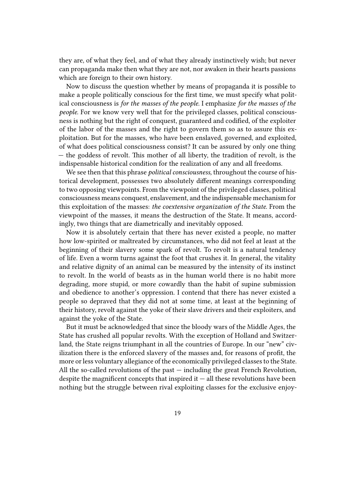they are, of what they feel, and of what they already instinctively wish; but never can propaganda make then what they are not, nor awaken in their hearts passions which are foreign to their own history.

Now to discuss the question whether by means of propaganda it is possible to make a people politically conscious for the first time, we must specify what political consciousness is *for the masses of the people.* I emphasize *for the masses of the people.* For we know very well that for the privileged classes, political consciousness is nothing but the right of conquest, guaranteed and codified, of the exploiter of the labor of the masses and the right to govern them so as to assure this exploitation. But for the masses, who have been enslaved, governed, and exploited, of what does political consciousness consist? It can be assured by only one thing — the goddess of revolt. This mother of all liberty, the tradition of revolt, is the indispensable historical condition for the realization of any and all freedoms.

We see then that this phrase *political consciousness,* throughout the course of historical development, possesses two absolutely different meanings corresponding to two opposing viewpoints. From the viewpoint of the privileged classes, political consciousness means conquest, enslavement, and the indispensable mechanism for this exploitation of the masses: *the coextensive organization of the State.* From the viewpoint of the masses, it means the destruction of the State. It means, accordingly, two things that are diametrically and inevitably opposed.

Now it is absolutely certain that there has never existed a people, no matter how low-spirited or maltreated by circumstances, who did not feel at least at the beginning of their slavery some spark of revolt. To revolt is a natural tendency of life. Even a worm turns against the foot that crushes it. In general, the vitality and relative dignity of an animal can be measured by the intensity of its instinct to revolt. In the world of beasts as in the human world there is no habit more degrading, more stupid, or more cowardly than the habit of supine submission and obedience to another's oppression. I contend that there has never existed a people so depraved that they did not at some time, at least at the beginning of their history, revolt against the yoke of their slave drivers and their exploiters, and against the yoke of the State.

But it must be acknowledged that since the bloody wars of the Middle Ages, the State has crushed all popular revolts. With the exception of Holland and Switzerland, the State reigns triumphant in all the countries of Europe. In our "new" civilization there is the enforced slavery of the masses and, for reasons of profit, the more or less voluntary allegiance of the economically privileged classes to the State. All the so-called revolutions of the past — including the great French Revolution, despite the magnificent concepts that inspired it  $-$  all these revolutions have been nothing but the struggle between rival exploiting classes for the exclusive enjoy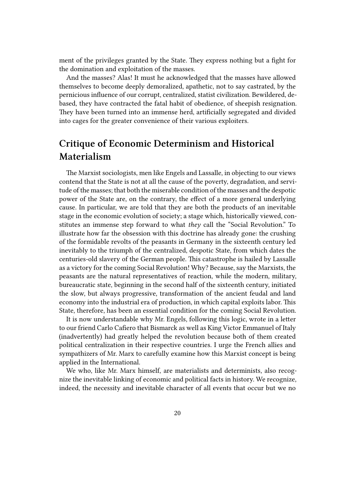ment of the privileges granted by the State. They express nothing but a fight for the domination and exploitation of the masses.

And the masses? Alas! It must he acknowledged that the masses have allowed themselves to become deeply demoralized, apathetic, not to say castrated, by the pernicious influence of our corrupt, centralized, statist civilization. Bewildered, debased, they have contracted the fatal habit of obedience, of sheepish resignation. They have been turned into an immense herd, artificially segregated and divided into cages for the greater convenience of their various exploiters.

## **Critique of Economic Determinism and Historical Materialism**

The Marxist sociologists, men like Engels and Lassalle, in objecting to our views contend that the State is not at all the cause of the poverty, degradation, and servitude of the masses; that both the miserable condition of the masses and the despotic power of the State are, on the contrary, the effect of a more general underlying cause. In particular, we are told that they are both the products of an inevitable stage in the economic evolution of society; a stage which, historically viewed, constitutes an immense step forward to what *they* call the "Social Revolution." To illustrate how far the obsession with this doctrine has already gone: the crushing of the formidable revolts of the peasants in Germany in the sixteenth century led inevitably to the triumph of the centralized, despotic State, from which dates the centuries-old slavery of the German people. This catastrophe is hailed by Lassalle as a victory for the coming Social Revolution! Why? Because, say the Marxists, the peasants are the natural representatives of reaction, while the modern, military, bureaucratic state, beginning in the second half of the sixteenth century, initiated the slow, but always progressive, transformation of the ancient feudal and land economy into the industrial era of production, in which capital exploits labor. This State, therefore, has been an essential condition for the coming Social Revolution.

It is now understandable why Mr. Engels, following this logic, wrote in a letter to our friend Carlo Cafiero that Bismarck as well as King Victor Emmanuel of Italy (inadvertently) had greatly helped the revolution because both of them created political centralization in their respective countries. I urge the French allies and sympathizers of Mr. Marx to carefully examine how this Marxist concept is being applied in the International.

We who, like Mr. Marx himself, are materialists and determinists, also recognize the inevitable linking of economic and political facts in history. We recognize, indeed, the necessity and inevitable character of all events that occur but we no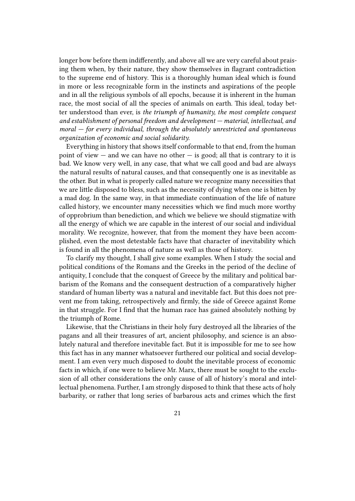longer bow before them indifferently, and above all we are very careful about praising them when, by their nature, they show themselves in flagrant contradiction to the supreme end of history. This is a thoroughly human ideal which is found in more or less recognizable form in the instincts and aspirations of the people and in all the religious symbols of all epochs, because it is inherent in the human race, the most social of all the species of animals on earth. This ideal, today better understood than ever, is *the triumph of humanity, the most complete conquest and establishment of personal freedom and development — material, intellectual, and moral — for every individual, through the absolutely unrestricted and spontaneous organization of economic and social solidarity.*

Everything in history that shows itself conformable to that end, from the human point of view — and we can have no other — is good; all that is contrary to it is bad. We know very well, in any case, that what we call good and bad are always the natural results of natural causes, and that consequently one is as inevitable as the other. But in what is properly called nature we recognize many necessities that we are little disposed to bless, such as the necessity of dying when one is bitten by a mad dog. In the same way, in that immediate continuation of the life of nature called history, we encounter many necessities which we find much more worthy of opprobrium than benediction, and which we believe we should stigmatize with all the energy of which we are capable in the interest of our social and individual morality. We recognize, however, that from the moment they have been accomplished, even the most detestable facts have that character of inevitability which is found in all the phenomena of nature as well as those of history.

To clarify my thought, I shall give some examples. When I study the social and political conditions of the Romans and the Greeks in the period of the decline of antiquity, I conclude that the conquest of Greece by the military and political barbarism of the Romans and the consequent destruction of a comparatively higher standard of human liberty was a natural and inevitable fact. But this does not prevent me from taking, retrospectively and firmly, the side of Greece against Rome in that struggle. For I find that the human race has gained absolutely nothing by the triumph of Rome.

Likewise, that the Christians in their holy fury destroyed all the libraries of the pagans and all their treasures of art, ancient philosophy, and science is an absolutely natural and therefore inevitable fact. But it is impossible for me to see how this fact has in any manner whatsoever furthered our political and social development. I am even very much disposed to doubt the inevitable process of economic facts in which, if one were to believe Mr. Marx, there must be sought to the exclusion of all other considerations the only cause of all of history's moral and intellectual phenomena. Further, I am strongly disposed to think that these acts of holy barbarity, or rather that long series of barbarous acts and crimes which the first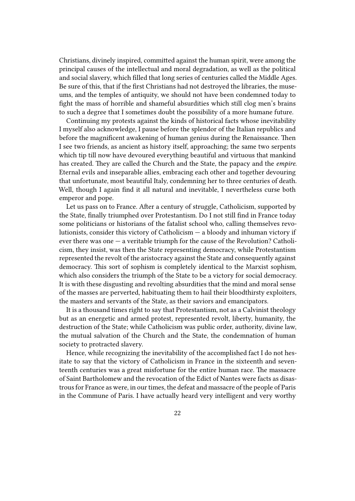Christians, divinely inspired, committed against the human spirit, were among the principal causes of the intellectual and moral degradation, as well as the political and social slavery, which filled that long series of centuries called the Middle Ages. Be sure of this, that if the first Christians had not destroyed the libraries, the museums, and the temples of antiquity, we should not have been condemned today to fight the mass of horrible and shameful absurdities which still clog men's brains to such a degree that I sometimes doubt the possibility of a more humane future.

Continuing my protests against the kinds of historical facts whose inevitability I myself also acknowledge, I pause before the splendor of the Italian republics and before the magnificent awakening of human genius during the Renaissance. Then I see two friends, as ancient as history itself, approaching; the same two serpents which tip till now have devoured everything beautiful and virtuous that mankind has created. They are called the Church and the State, the papacy and the *empire.* Eternal evils and inseparable allies, embracing each other and together devouring that unfortunate, most beautiful Italy, condemning her to three centuries of death. Well, though I again find it all natural and inevitable, I nevertheless curse both emperor and pope.

Let us pass on to France. After a century of struggle, Catholicism, supported by the State, finally triumphed over Protestantism. Do I not still find in France today some politicians or historians of the fatalist school who, calling themselves revolutionists, consider this victory of Catholicism — a bloody and inhuman victory if ever there was one — a veritable triumph for the cause of the Revolution? Catholicism, they insist, was then the State representing democracy, while Protestantism represented the revolt of the aristocracy against the State and consequently against democracy. This sort of sophism is completely identical to the Marxist sophism, which also considers the triumph of the State to be a victory for social democracy. It is with these disgusting and revolting absurdities that the mind and moral sense of the masses are perverted, habituating them to hail their bloodthirsty exploiters, the masters and servants of the State, as their saviors and emancipators.

It is a thousand times right to say that Protestantism, not as a Calvinist theology but as an energetic and armed protest, represented revolt, liberty, humanity, the destruction of the State; while Catholicism was public order, authority, divine law, the mutual salvation of the Church and the State, the condemnation of human society to protracted slavery.

Hence, while recognizing the inevitability of the accomplished fact I do not hesitate to say that the victory of Catholicism in France in the sixteenth and seventeenth centuries was a great misfortune for the entire human race. The massacre of Saint Bartholomew and the revocation of the Edict of Nantes were facts as disastrous for France as were, in our times, the defeat and massacre of the people of Paris in the Commune of Paris. I have actually heard very intelligent and very worthy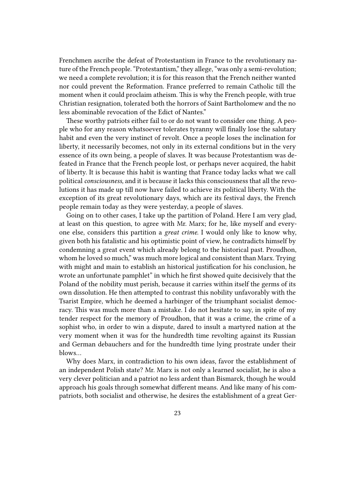Frenchmen ascribe the defeat of Protestantism in France to the revolutionary nature of the French people. "Protestantism," they allege, "was only a semi-revolution; we need a complete revolution; it is for this reason that the French neither wanted nor could prevent the Reformation. France preferred to remain Catholic till the moment when it could proclaim atheism. This is why the French people, with true Christian resignation, tolerated both the horrors of Saint Bartholomew and the no less abominable revocation of the Edict of Nantes."

These worthy patriots either fail to or do not want to consider one thing. A people who for any reason whatsoever tolerates tyranny will finally lose the salutary habit and even the very instinct of revolt. Once a people loses the inclination for liberty, it necessarily becomes, not only in its external conditions but in the very essence of its own being, a people of slaves. It was because Protestantism was defeated in France that the French people lost, or perhaps never acquired, the habit of liberty. It is because this habit is wanting that France today lacks what we call political *consciousness,* and it is because it lacks this consciousness that all the revolutions it has made up till now have failed to achieve its political liberty. With the exception of its great revolutionary days, which are its festival days, the French people remain today as they were yesterday, a people of slaves.

Going on to other cases, I take up the partition of Poland. Here I am very glad, at least on this question, to agree with Mr. Marx; for he, like myself and everyone else, considers this partition a *great crime.* I would only like to know why, given both his fatalistic and his optimistic point of view, he contradicts himself by condemning a great event which already belong to the historical past. Proudhon, whom he loved so much," was much more logical and consistent than Marx. Trying with might and main to establish an historical justification for his conclusion, he wrote an unfortunate pamphlet" in which he first showed quite decisively that the Poland of the nobility must perish, because it carries within itself the germs of its own dissolution. He then attempted to contrast this nobility unfavorably with the Tsarist Empire, which he deemed a harbinger of the triumphant socialist democracy. This was much more than a mistake. I do not hesitate to say, in spite of my tender respect for the memory of Proudhon, that it was a crime, the crime of a sophist who, in order to win a dispute, dared to insult a martyred nation at the very moment when it was for the hundredth time revolting against its Russian and German debauchers and for the hundredth time lying prostrate under their blows…

Why does Marx, in contradiction to his own ideas, favor the establishment of an independent Polish state? Mr. Marx is not only a learned socialist, he is also a very clever politician and a patriot no less ardent than Bismarck, though he would approach his goals through somewhat different means. And like many of his compatriots, both socialist and otherwise, he desires the establishment of a great Ger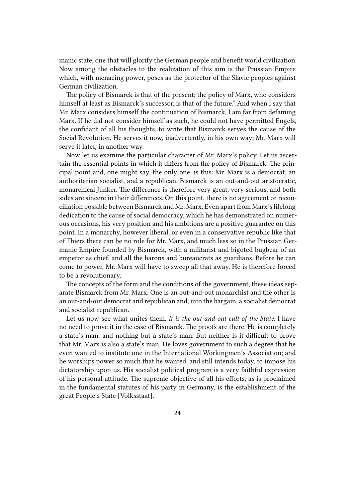manic state, one that will glorify the German people and benefit world civilization. Now among the obstacles to the realization of this aim is the Prussian Empire which, with menacing power, poses as the protector of the Slavic peoples against German civilization.

The policy of Bismarck is that of the present; the policy of Marx, who considers himself at least as Bismarck's successor, is that of the future." And when I say that Mr. Marx considers himself the continuation of Bismarck, I am far from defaming Marx. If he did not consider himself as such, he could not have permitted Engels, the confidant of all his thoughts, to write that Bismarck serves the cause of the Social Revolution. He serves it now, inadvertently, in his own way; Mr. Marx will serve it later, in another way.

Now let us examine the particular character of Mr. Marx's policy. Let us ascertain the essential points in which it differs from the policy of Bismarck. The principal point and, one might say, the only one, is this: Mr. Marx is a democrat, an authoritarian socialist, and a republican. Bismarck is an out-and-out aristocratic, monarchical Junker. The difference is therefore very great, very serious, and both sides are sincere in their differences. On this point, there is no agreement or reconciliation possible between Bismarck and Mr. Marx. Even apart from Marx's lifelong dedication to the cause of social democracy, which he has demonstrated on numerous occasions, his very position and his ambitions are a positive guarantee on this point. In a monarchy, however liberal, or even in a conservative republic like that of Thiers there can be no role for Mr. Marx, and much less so in the Prussian Germanic Empire founded by Bismarck, with a militarist and bigoted bugbear of an emperor as chief, and all the barons and bureaucrats as guardians. Before he can come to power, Mr. Marx will have to sweep all that away. He is therefore forced to be a revolutionary.

The concepts of the form and the conditions of the government, these ideas separate Bismarck from Mr. Marx. One is an out-and-out monarchist and the other is an out-and-out democrat and republican and, into the bargain, a socialist democrat and socialist republican.

Let us now see what unites them. *It is the out-and-out cult of the State.* I have no need to prove it in the case of Bismarck. The proofs are there. He is completely a state's man, and nothing but a state's man. But neither is it difficult to prove that Mr. Marx is also a state's man. He loves government to such a degree that he even wanted to institute one in the International Workingmen's Association; and he worships power so much that he wanted, and still intends today, to impose his dictatorship upon us. His socialist political program is a very faithful expression of his personal attitude. The supreme objective of all his efforts, as is proclaimed in the fundamental statutes of his party in Germany, is the establishment of the great People's State [Volksstaat].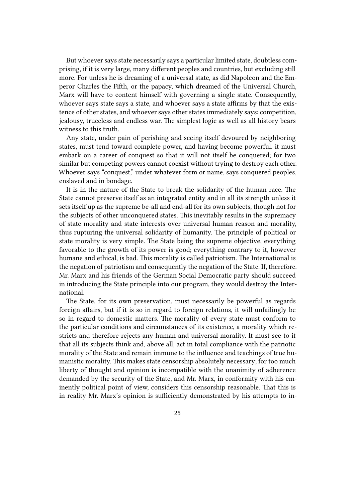But whoever says state necessarily says a particular limited state, doubtless comprising, if it is very large, many different peoples and countries, but excluding still more. For unless he is dreaming of a universal state, as did Napoleon and the Emperor Charles the Fifth, or the papacy, which dreamed of the Universal Church, Marx will have to content himself with governing a single state. Consequently, whoever says state says a state, and whoever says a state affirms by that the existence of other states, and whoever says other states immediately says: competition, jealousy, truceless and endless war. The simplest logic as well as all history bears witness to this truth.

Any state, under pain of perishing and seeing itself devoured by neighboring states, must tend toward complete power, and having become powerful. it must embark on a career of conquest so that it will not itself be conquered; for two similar but competing powers cannot coexist without trying to destroy each other. Whoever says "conquest," under whatever form or name, says conquered peoples, enslaved and in bondage.

It is in the nature of the State to break the solidarity of the human race. The State cannot preserve itself as an integrated entity and in all its strength unless it sets itself up as the supreme be-all and end-all for its own subjects, though not for the subjects of other unconquered states. This inevitably results in the supremacy of state morality and state interests over universal human reason and morality, thus rupturing the universal solidarity of humanity. The principle of political or state morality is very simple. The State being the supreme objective, everything favorable to the growth of its power is good; everything contrary to it, however humane and ethical, is bad. This morality is called patriotism. The International is the negation of patriotism and consequently the negation of the State. If, therefore. Mr. Marx and his friends of the German Social Democratic party should succeed in introducing the State principle into our program, they would destroy the International.

The State, for its own preservation, must necessarily be powerful as regards foreign affairs, but if it is so in regard to foreign relations, it will unfailingly be so in regard to domestic matters. The morality of every state must conform to the particular conditions and circumstances of its existence, a morality which restricts and therefore rejects any human and universal morality. It must see to it that all its subjects think and, above all, act in total compliance with the patriotic morality of the State and remain immune to the influence and teachings of true humanistic morality. This makes state censorship absolutely necessary; for too much liberty of thought and opinion is incompatible with the unanimity of adherence demanded by the security of the State, and Mr. Marx, in conformity with his eminently political point of view, considers this censorship reasonable. That this is in reality Mr. Marx's opinion is sufficiently demonstrated by his attempts to in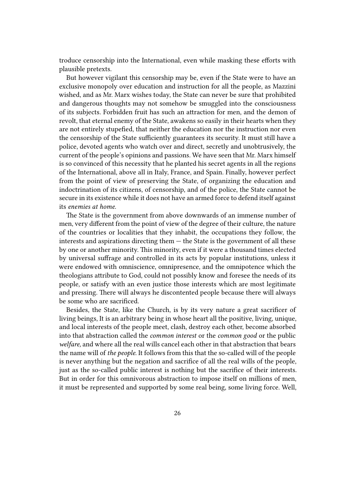troduce censorship into the International, even while masking these efforts with plausible pretexts.

But however vigilant this censorship may be, even if the State were to have an exclusive monopoly over education and instruction for all the people, as Mazzini wished, and as Mr. Marx wishes today, the State can never be sure that prohibited and dangerous thoughts may not somehow be smuggled into the consciousness of its subjects. Forbidden fruit has such an attraction for men, and the demon of revolt, that eternal enemy of the State, awakens so easily in their hearts when they are not entirely stupefied, that neither the education nor the instruction nor even the censorship of the State sufficiently guarantees its security. It must still have a police, devoted agents who watch over and direct, secretly and unobtrusively, the current of the people's opinions and passions. We have seen that Mr. Marx himself is so convinced of this necessity that he planted his secret agents in all the regions of the International, above all in Italy, France, and Spain. Finally, however perfect from the point of view of preserving the State, of organizing the education and indoctrination of its citizens, of censorship, and of the police, the State cannot be secure in its existence while it does not have an armed force to defend itself against its *enemies at home.*

The State is the government from above downwards of an immense number of men, very different from the point of view of the degree of their culture, the nature of the countries or localities that they inhabit, the occupations they follow, the interests and aspirations directing them — the State is the government of all these by one or another minority. This minority, even if it were a thousand times elected by universal suffrage and controlled in its acts by popular institutions, unless it were endowed with omniscience, omnipresence, and the omnipotence which the theologians attribute to God, could not possibly know and foresee the needs of its people, or satisfy with an even justice those interests which are most legitimate and pressing. There will always he discontented people because there will always be some who are sacrificed.

Besides, the State, like the Church, is by its very nature a great sacrificer of living beings, It is an arbitrary being in whose heart all the positive, living, unique, and local interests of the people meet, clash, destroy each other, become absorbed into that abstraction called the *common interest* or the *common good* or the public *welfare,* and where all the real wills cancel each other in that abstraction that bears the name will of *the people.* It follows from this that the so-called will of the people is never anything but the negation and sacrifice of all the real wills of the people, just as the so-called public interest is nothing but the sacrifice of their interests. But in order for this omnivorous abstraction to impose itself on millions of men, it must be represented and supported by some real being, some living force. Well,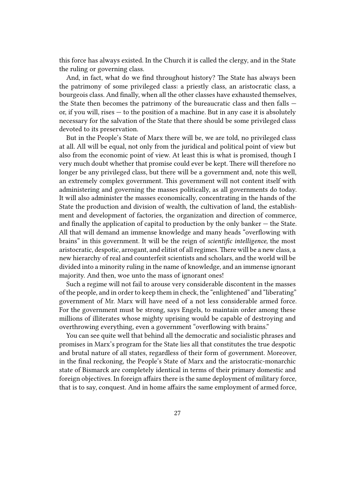this force has always existed. In the Church it is called the clergy, and in the State the ruling or governing class.

And, in fact, what do we find throughout history? The State has always been the patrimony of some privileged class: a priestly class, an aristocratic class, a bourgeois class. And finally, when all the other classes have exhausted themselves, the State then becomes the patrimony of the bureaucratic class and then falls or, if you will, rises — to the position of a machine. But in any case it is absolutely necessary for the salvation of the State that there should be some privileged class devoted to its preservation.

But in the People's State of Marx there will be, we are told, no privileged class at all. All will be equal, not only from the juridical and political point of view but also from the economic point of view. At least this is what is promised, though I very much doubt whether that promise could ever be kept. There will therefore no longer be any privileged class, but there will be a government and, note this well, an extremely complex government. This government will not content itself with administering and governing the masses politically, as all governments do today. It will also administer the masses economically, concentrating in the hands of the State the production and division of wealth, the cultivation of land, the establishment and development of factories, the organization and direction of commerce, and finally the application of capital to production by the only banker — the State. All that will demand an immense knowledge and many heads "overflowing with brains" in this government. It will be the reign of *scientific intelligence,* the most aristocratic, despotic, arrogant, and elitist of all regimes.There will be a new class, a new hierarchy of real and counterfeit scientists and scholars, and the world will be divided into a minority ruling in the name of knowledge, and an immense ignorant majority. And then, woe unto the mass of ignorant ones!

Such a regime will not fail to arouse very considerable discontent in the masses of the people, and in order to keep them in check, the "enlightened" and "liberating" government of Mr. Marx will have need of a not less considerable armed force. For the government must be strong, says Engels, to maintain order among these millions of illiterates whose mighty uprising would be capable of destroying and overthrowing everything, even a government "overflowing with brains."

You can see quite well that behind all the democratic and socialistic phrases and promises in Marx's program for the State lies all that constitutes the true despotic and brutal nature of all states, regardless of their form of government. Moreover, in the final reckoning, the People's State of Marx and the aristocratic-monarchic state of Bismarck are completely identical in terms of their primary domestic and foreign objectives. In foreign affairs there is the same deployment of military force, that is to say, conquest. And in home affairs the same employment of armed force,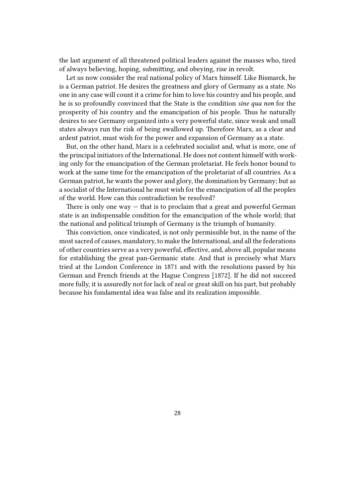the last argument of all threatened political leaders against the masses who, tired of always believing, hoping, submitting, and obeying, rise in revolt.

Let us now consider the real national policy of Marx himself. Like Bismarck, he is a German patriot. He desires the greatness and glory of Germany as a state. No one in any case will count it a crime for him to love his country and his people, and he is so profoundly convinced that the State is the condition *sine qua non* for the prosperity of his country and the emancipation of his people. Thus he naturally desires to see Germany organized into a very powerful state, since weak and small states always run the risk of being swallowed up. Therefore Marx, as a clear and ardent patriot, must wish for the power and expansion of Germany as a state.

But, on the other hand, Marx is a celebrated socialist and, what is more, one of the principal initiators of the International. He does not content himself with working only for the emancipation of the German proletariat. He feels honor bound to work at the same time for the emancipation of the proletariat of all countries. As a German patriot, he wants the power and glory, the domination by Germany; but as a socialist of the International he must wish for the emancipation of all the peoples of the world. How can this contradiction be resolved?

There is only one way  $-$  that is to proclaim that a great and powerful German state is an indispensable condition for the emancipation of the whole world; that the national and political triumph of Germany is the triumph of humanity.

This conviction, once vindicated, is not only permissible but, in the name of the most sacred of causes, mandatory, to make the International, and all the federations of other countries serve as a very powerful, effective, and, above all, popular means for establishing the great pan-Germanic state. And that is precisely what Marx tried at the London Conference in 1871 and with the resolutions passed by his German and French friends at the Hague Congress [1872]. If he did not succeed more fully, it is assuredly not for lack of zeal or great skill on his part, but probably because his fundamental idea was false and its realization impossible.